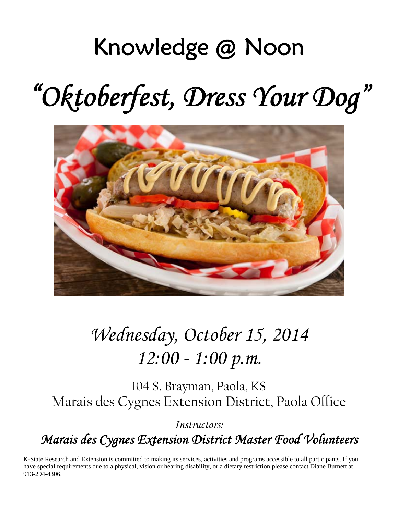## Knowledge @ Noon

# *"Oktoberfest, Dress Your Dog"*



### *Wednesday, October 15, 2014 12:00 - 1:00 p.m.*

104 S. Brayman, Paola, KS Marais des Cygnes Extension District, Paola Office

*Instructors: Marais des Cygnes Extension District Master Food Volunteers* 

K-State Research and Extension is committed to making its services, activities and programs accessible to all participants. If you have special requirements due to a physical, vision or hearing disability, or a dietary restriction please contact Diane Burnett at 913-294-4306.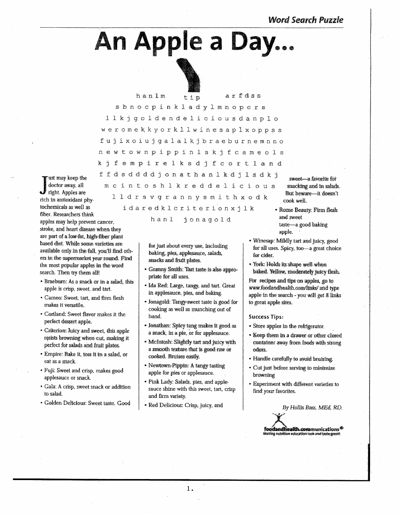**Word Search Puzzle** 

# An Apple a Day...



hanlm arfdss tip sbnocpinkladylmnopers llkjgoldendeliciousdanplo weromekkyorkllwinesaplxoppss fujixoiujgalalkjbraeburnemnno newtownpippinlskjfcameols kjfempirelksdjfcortland ffdsddddjonathanlkdjlsdkj

ust may keep the doctor away, all mcintoshlkreddelicious  $\mathcal J$  right. Apples are lldrsvgrannysmithxodk rich in antioxidant phytochemicals as well as idaredklcriterionxjlk fiber. Researchers think apples may help prevent cancer, stroke, and heart disease when they are part of a low-fat, high-fiber plant based diet. While some varieties are available only in the fall, you'll find others in the supermarket year round. Find the most popular apples in the word search. Then try them all!

- \* Braeburn: As a snack or in a salad, this apple is crisp, sweet, and tart.
- · Cameo: Sweet, tart, and firm flesh makes it versatile.
- Cortland: Sweet flavor makes it the perfect dessert apple.
- Criterion: Juicy and sweet, this apple resists browning when cut, making it perfect for salads and fruit plates.
- · Empire: Bake it, toss it in a salad, or eat as a snack.
- · Fuji: Sweet and crisp, makes good applesauce or snack.
- · Gala: A crisp, sweet snack or addition to salad.
- · Golden Delicious: Sweet taste. Good

hanl jonagold

for just about every use, including baking, pies, applesauce, salads, snacks and fruit plates.

- · Granny Smith: Tart taste is also appropriate for all uses.
- · Ida Red: Large, tangy, and tart. Great in applesauce, pies, and baking.
- Jonagold: Tangy-sweet taste is good for cooking as well as munching out of hand.
- Jonathan: Spicy tang makes it good as a snack, in a pie, or for applesauce.
- · McIntosh: Slightly tart and juicy with a smooth texture that is good raw or cooked. Bruises easily.
- Newtown-Pippin: A tangy tasting apple for pies or applesauce.
- · Pink Lady: Salads, pies, and applesauce shine with this sweet, tart, crisp and firm variety.
- Red Delicious: Crisp, juicy, and

sweet-a favorite for snacking and in salads. But beware-it doesn't cook well.

- \* Rome Beauty: Firm flesh and sweet taste-a good baking apple.
- Winesap: Mildly tart and juicy, good for all uses. Spicy, too-a great choice for cider.
- York: Holds its shape well when baked. Yellow, moderately juicy flesh.

For recipes and tips on apples, go to www.foodandhealth.com/links/ and type apple in the search - you will get 8 links to great apple sites.

#### **Success Tips:**

- Store apples in the refrigerator
- \* Keep them in a drawer or other closed container away from foods with strong odors.
- Handle carefully to avoid bruising.
- Cut just before serving to minimize browning
- Experiment with different varieties to find your favorites.

By Hollis Bass, MEd, RD. foodandhealth.communications<sup>®</sup> g nutrition education look and taste great!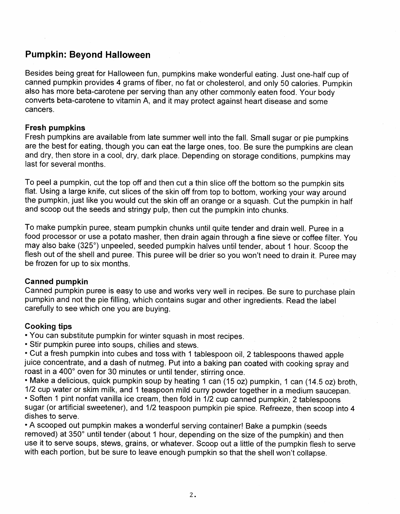#### **Pumpkin: Beyond Halloween**

Besides being great for Halloween fun, pumpkins make wonderful eating. Just one-half cup of canned pumpkin provides 4 grams of fiber, no fat or cholesterol, and only 50 calories. Pumpkin also has more beta-carotene per serving than any other commonly eaten food. Your body converts beta-carotene to vitamin A, and it may protect against heart disease and some cancers.

#### **Fresh pumpkins**

Fresh pumpkins are available from late summer well into the fall. Small sugar or pie pumpkins are the best for eating, though you can eat the large ones, too. Be sure the pumpkins are clean and dry, then store in a cool, dry, dark place. Depending on storage conditions, pumpkins may last for several months.

To peel a pumpkin, cut the top off and then cut a thin slice off the bottom so the pumpkin sits flat. Using a large knife, cut slices of the skin off from top to bottom, working your way around the pumpkin, just like you would cut the skin off an orange or a squash. Cut the pumpkin in half and scoop out the seeds and stringy pulp, then cut the pumpkin into chunks.

To make pumpkin puree, steam pumpkin chunks until quite tender and drain well. Puree in a food processor or use a potato masher, then drain again through a fine sieve or coffee filter. You may also bake (325°) unpeeled, seeded pumpkin halves until tender, about 1 hour. Scoop the flesh out of the shell and puree. This puree will be drier so you won't need to drain it. Puree may be frozen for up to six months.

#### **Canned pumpkin**

Canned pumpkin puree is easy to use and works very well in recipes. Be sure to purchase plain pumpkin and not the pie filling, which contains sugar and other ingredients. Read the label carefully to see which one you are buying.

#### **Cooking tips**

• You can substitute pumpkin for winter squash in most recipes.

• Stir pumpkin puree into soups, chilies and stews.

• Cut a fresh pumpkin into cubes and toss with 1 tablespoon oil, 2 tablespoons thawed apple juice concentrate, and a dash of nutmeg. Put into a baking pan coated with cooking spray and roast in a 400° oven for 30 minutes or until tender, stirring once.

• Make a delicious, quick pumpkin soup by heating 1 can (15 oz) pumpkin, 1 can (14.5 oz) broth,

1/2 cup water or skim milk, and 1 teaspoon mild curry powder together in a medium saucepan. · Soften 1 pint nonfat vanilla ice cream, then fold in 1/2 cup canned pumpkin, 2 tablespoons sugar (or artificial sweetener), and 1/2 teaspoon pumpkin pie spice. Refreeze, then scoop into 4 dishes to serve.

• A scooped out pumpkin makes a wonderful serving container! Bake a pumpkin (seeds removed) at 350° until tender (about 1 hour, depending on the size of the pumpkin) and then use it to serve soups, stews, grains, or whatever. Scoop out a little of the pumpkin flesh to serve with each portion, but be sure to leave enough pumpkin so that the shell won't collapse.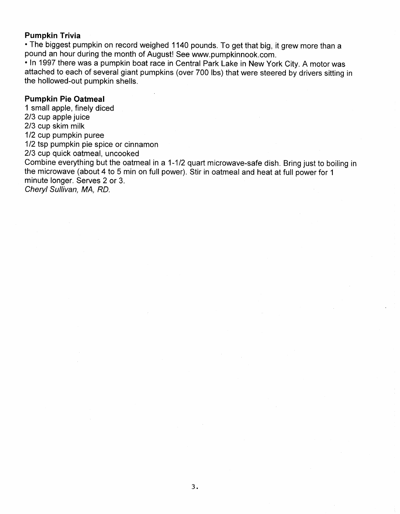#### **Pumpkin Trivia**

. The biggest pumpkin on record weighed 1140 pounds. To get that big, it grew more than a pound an hour during the month of August! See www.pumpkinnook.com.

. In 1997 there was a pumpkin boat race in Central Park Lake in New York City. A motor was attached to each of several giant pumpkins (over 700 lbs) that were steered by drivers sitting in the hollowed-out pumpkin shells.

#### **Pumpkin Pie Oatmeal**

1 small apple, finely diced 2/3 cup apple juice 2/3 cup skim milk 1/2 cup pumpkin puree 1/2 tsp pumpkin pie spice or cinnamon 2/3 cup quick oatmeal, uncooked Combine everything but the oatmeal in a 1-1/2 quart microwave-safe dish. Bring just to boiling in the microwave (about 4 to 5 min on full power). Stir in oatmeal and heat at full power for 1 minute longer. Serves 2 or 3. Cheryl Sullivan, MA, RD.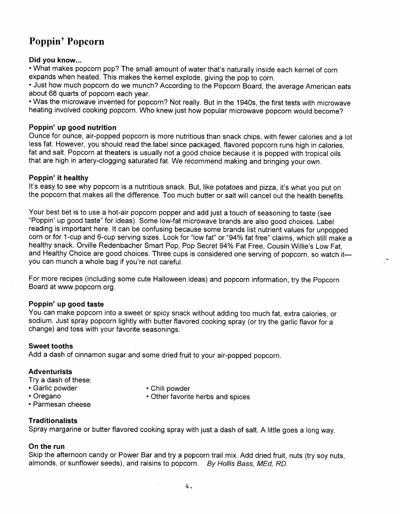### Poppin' Popcorn

#### Did you know...

. What makes popcorn pop? The small amount of water that's naturally inside each kernel of corn expands when heated. This makes the kernel explode, giving the pop to corn.

• Just how much popcorn do we munch? According to the Popcorn Board, the average American eats about 68 quarts of popcorn each year.

. Was the microwave invented for popcorn? Not really. But in the 1940s, the first tests with microwave heating involved cooking popcorn. Who knew just how popular microwave popcorn would become?

#### Poppin' up good nutrition

Ounce for ounce, air-popped popcorn is more nutritious than snack chips, with fewer calories and a lot less fat. However, you should read the label since packaged, flavored popcorn runs high in calories. fat and salt. Popcorn at theaters is usually not a good choice because it is popped with tropical oils that are high in artery-clogging saturated fat. We recommend making and bringing your own.

#### Poppin' it healthy

It's easy to see why popcorn is a nutritious snack. But, like potatoes and pizza, it's what you put on the popcorn that makes all the difference. Too much butter or salt will cancel out the health benefits.

Your best bet is to use a hot-air popcorn popper and add just a touch of seasoning to taste (see "Poppin' up good taste" for ideas). Some low-fat microwave brands are also good choices. Label reading is important here. It can be confusing because some brands list nutrient values for unpopped corn or for 1-cup and 6-cup serving sizes. Look for "low fat" or "94% fat free" claims, which still make a healthy snack. Orville Redenbacher Smart Pop, Pop Secret 94% Fat Free, Cousin Willie's Low Fat. and Healthy Choice are good choices. Three cups is considered one serving of popcorn, so watch ityou can munch a whole bag if you're not careful.

For more recipes (including some cute Halloween ideas) and popcorn information, try the Popcorn Board at www.popcorn.org.

#### Poppin' up good taste

You can make popcorn into a sweet or spicy snack without adding too much fat, extra calories, or sodium. Just spray popcorn lightly with butter flavored cooking spray (or try the garlic flavor for a change) and toss with your favorite seasonings.

#### **Sweet tooths**

Add a dash of cinnamon sugar and some dried fruit to your air-popped popcorn.

#### **Adventurists**

Trv a dash of these:

- · Garlic powder
- Oregano
- Chili powder
- Other favorite herbs and spices
- · Parmesan cheese

#### **Traditionalists**

Spray margarine or butter flavored cooking spray with just a dash of salt. A little goes a long way.

#### On the run

Skip the afternoon candy or Power Bar and try a popcorn trail mix. Add dried fruit, nuts (try soy nuts. almonds, or sunflower seeds), and raisins to popcorn. By Hollis Bass. MEd. RD.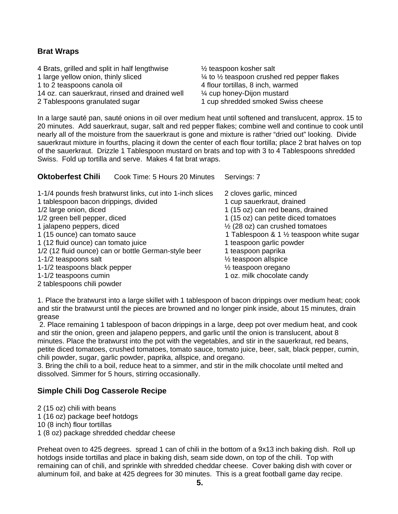#### **Brat Wraps**

4 Brats, grilled and split in half lengthwise  $\frac{1}{2}$  teaspoon kosher salt 1 large yellow onion, thinly sliced ¼ to ½ teaspoon crushed red pepper flakes 1 to 2 teaspoons canola oil 4 flour tortillas, 8 inch, warmed 14 oz. can sauerkraut, rinsed and drained well ¼ cup honey-Dijon mustard 2 Tablespoons granulated sugar 1 cup shredded smoked Swiss cheese

**Oktoberfest Chili** Cook Time: 5 Hours 20 Minutes Servings: 7

In a large sauté pan, sauté onions in oil over medium heat until softened and translucent, approx. 15 to 20 minutes. Add sauerkraut, sugar, salt and red pepper flakes; combine well and continue to cook until nearly all of the moisture from the sauerkraut is gone and mixture is rather "dried out" looking. Divide sauerkraut mixture in fourths, placing it down the center of each flour tortilla; place 2 brat halves on top of the sauerkraut. Drizzle 1 Tablespoon mustard on brats and top with 3 to 4 Tablespoons shredded Swiss. Fold up tortilla and serve. Makes 4 fat brat wraps.

| 1-1/4 pounds fresh bratwurst links, cut into 1-inch slices | 2 cloves garlic, minced                             |
|------------------------------------------------------------|-----------------------------------------------------|
| 1 tablespoon bacon drippings, divided                      | 1 cup sauerkraut, drained                           |
| 1/2 large onion, diced                                     | 1 (15 oz) can red beans, drained                    |
| 1/2 green bell pepper, diced                               | 1 (15 oz) can petite diced tomatoes                 |
| 1 jalapeno peppers, diced                                  | $\frac{1}{2}$ (28 oz) can crushed tomatoes          |
| 1 (15 ounce) can tomato sauce                              | 1 Tablespoon & 1 $\frac{1}{2}$ teaspoon white sugar |
| 1 (12 fluid ounce) can tomato juice                        | 1 teaspoon garlic powder                            |
| 1/2 (12 fluid ounce) can or bottle German-style beer       | 1 teaspoon paprika                                  |
| 1-1/2 teaspoons salt                                       | $\frac{1}{2}$ teaspoon allspice                     |
| 1-1/2 teaspoons black pepper                               | $\frac{1}{2}$ teaspoon oregano                      |
| 1-1/2 teaspoons cumin                                      | 1 oz. milk chocolate candy                          |
| 2 tablespoons chili powder                                 |                                                     |

1. Place the bratwurst into a large skillet with 1 tablespoon of bacon drippings over medium heat; cook and stir the bratwurst until the pieces are browned and no longer pink inside, about 15 minutes, drain grease

 2. Place remaining 1 tablespoon of bacon drippings in a large, deep pot over medium heat, and cook and stir the onion, green and jalapeno peppers, and garlic until the onion is translucent, about 8 minutes. Place the bratwurst into the pot with the vegetables, and stir in the sauerkraut, red beans, petite diced tomatoes, crushed tomatoes, tomato sauce, tomato juice, beer, salt, black pepper, cumin, chili powder, sugar, garlic powder, paprika, allspice, and oregano.

3. Bring the chili to a boil, reduce heat to a simmer, and stir in the milk chocolate until melted and dissolved. Simmer for 5 hours, stirring occasionally.

#### **Simple Chili Dog Casserole Recipe**

2 (15 oz) chili with beans

1 (16 oz) package beef hotdogs

10 (8 inch) flour tortillas

1 (8 oz) package shredded cheddar cheese

Preheat oven to 425 degrees. spread 1 can of chili in the bottom of a 9x13 inch baking dish. Roll up hotdogs inside tortillas and place in baking dish, seam side down, on top of the chili. Top with remaining can of chili, and sprinkle with shredded cheddar cheese. Cover baking dish with cover or aluminum foil, and bake at 425 degrees for 30 minutes. This is a great football game day recipe.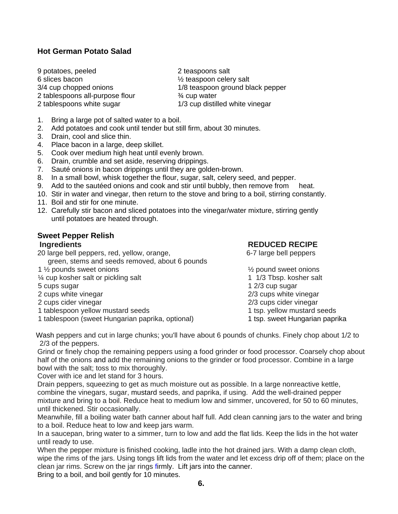#### **Hot German Potato Salad**

9 potatoes, peeled 2 teaspoons salt 6 slices bacon  $\frac{1}{2}$  teaspoon celery salt 2 tablespoons all-purpose flour <br>
2 tablespoons white sugar <br>
2 tablespoons white sugar <br>
2 1/3 cup distill

3/4 cup chopped onions 1/8 teaspoon ground black pepper 1/3 cup distilled white vinegar

- 1. Bring a large pot of salted water to a boil.
- 2. Add potatoes and cook until tender but still firm, about 30 minutes.
- 3. Drain, cool and slice thin.
- 4. Place bacon in a large, deep skillet.
- 5. Cook over medium high heat until evenly brown.
- 6. Drain, crumble and set aside, reserving drippings.
- 7. Sauté onions in bacon drippings until they are golden-brown.
- 8. In a small bowl, whisk together the flour, sugar, salt, celery seed, and pepper.
- 9. Add to the sautéed onions and cook and stir until bubbly, then remove from heat.
- 10. Stir in water and vinegar, then return to the stove and bring to a boil, stirring constantly.
- 11. Boil and stir for one minute.
- 12. Carefully stir bacon and sliced potatoes into the vinegar/water mixture, stirring gently until potatoes are heated through.

#### **Sweet Pepper Relish**

20 large bell peppers, red, yellow, orange, example 10 and 6-7 large bell peppers green, stems and seeds removed, about 6 pounds

- 1 <sup>1</sup>/<sub>2</sub> pounds sweet onions **1** is a state of the state of the state of the state of the state of the state of the state of the state of the state of the state of the state of the state of the state of the state of the s
- <sup>1/4</sup> cup kosher salt or pickling salt 1 1/3 Tbsp. kosher salt
- 
- 

- 1 tablespoon yellow mustard seeds 1 tsp. yellow mustard seeds
- 1 tablespoon (sweet Hungarian paprika, optional) 1 tsp. sweet Hungarian paprika

#### **Ingredients Intervention Contract Property REDUCED RECIPE**

- 5 cups sugar 1 2/3 cup sugar 2 cups white vinegar 2/3 cups white vinegar 2 cups cider vinegar 2/3 cups cider vinegar
	-

 Wash peppers and cut in large chunks; you'll have about 6 pounds of chunks. Finely chop about 1/2 to 2/3 of the peppers.

Grind or finely chop the remaining peppers using a food grinder or food processor. Coarsely chop about half of the onions and add the remaining onions to the grinder or food processor. Combine in a large bowl with the salt; toss to mix thoroughly.

Cover with ice and let stand for 3 hours.

Drain peppers, squeezing to get as much moisture out as possible. In a large nonreactive kettle, combine the vinegars, sugar, mustard seeds, and paprika, if using. Add the well-drained pepper mixture and bring to a boil. Reduce heat to medium low and simmer, uncovered, for 50 to 60 minutes, until thickened. Stir occasionally.

Meanwhile, fill a boiling water bath canner about half full. Add clean canning jars to the water and bring to a boil. Reduce heat to low and keep jars warm.

In a saucepan, bring water to a simmer, turn to low and add the flat lids. Keep the lids in the hot water until ready to use.

When the pepper mixture is finished cooking, ladle into the hot drained jars. With a damp clean cloth, wipe the rims of the jars. Using tongs lift lids from the water and let excess drip off of them; place on the clean jar rims. Screw on the jar rings firmly. Lift jars into the canner.

Bring to a boil, and boil gently for 10 minutes.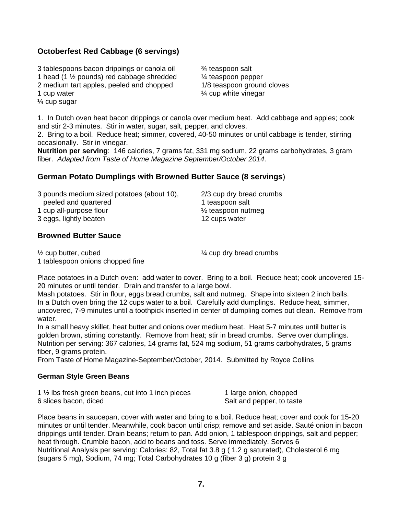#### **Octoberfest Red Cabbage (6 servings)**

3 tablespoons bacon drippings or canola oil ¾ teaspoon salt 1 head (1  $\frac{1}{2}$  pounds) red cabbage shredded  $\frac{1}{4}$  teaspoon pepper 2 medium tart apples, peeled and chopped 1/8 teaspoon ground cloves 1 cup water  $\frac{1}{4}$  cup white vinegar ¼ cup sugar

1. In Dutch oven heat bacon drippings or canola over medium heat. Add cabbage and apples; cook and stir 2-3 minutes. Stir in water, sugar, salt, pepper, and cloves.

2. Bring to a boil. Reduce heat; simmer, covered, 40-50 minutes or until cabbage is tender, stirring occasionally. Stir in vinegar.

**Nutrition per serving**: 146 calories, 7 grams fat, 331 mg sodium, 22 grams carbohydrates, 3 gram fiber. *Adapted from Taste of Home Magazine September/October 2014*.

#### **German Potato Dumplings with Browned Butter Sauce (8 servings**)

| 3 pounds medium sized potatoes (about 10), | 2/3 cup dry bread crumbs      |
|--------------------------------------------|-------------------------------|
| peeled and quartered                       | 1 teaspoon salt               |
| 1 cup all-purpose flour                    | $\frac{1}{2}$ teaspoon nutmeg |
| 3 eggs, lightly beaten                     | 12 cups water                 |

#### **Browned Butter Sauce**

 $\frac{1}{2}$  cup butter, cubed  $\frac{1}{4}$  cup dry bread crumbs 1 tablespoon onions chopped fine

Place potatoes in a Dutch oven: add water to cover. Bring to a boil. Reduce heat; cook uncovered 15- 20 minutes or until tender. Drain and transfer to a large bowl.

Mash potatoes. Stir in flour, eggs bread crumbs, salt and nutmeg. Shape into sixteen 2 inch balls. In a Dutch oven bring the 12 cups water to a boil. Carefully add dumplings. Reduce heat, simmer, uncovered, 7-9 minutes until a toothpick inserted in center of dumpling comes out clean. Remove from water.

In a small heavy skillet, heat butter and onions over medium heat. Heat 5-7 minutes until butter is golden brown, stirring constantly. Remove from heat; stir in bread crumbs. Serve over dumplings. Nutrition per serving: 367 calories, 14 grams fat, 524 mg sodium, 51 grams carbohydrates, 5 grams fiber, 9 grams protein.

From Taste of Home Magazine-September/October, 2014. Submitted by Royce Collins

#### **German Style Green Beans**

| 1 1/2 lbs fresh green beans, cut into 1 inch pieces | 1 large onion, chopped    |
|-----------------------------------------------------|---------------------------|
| 6 slices bacon, diced                               | Salt and pepper, to taste |

Place beans in saucepan, cover with water and bring to a boil. Reduce heat; cover and cook for 15-20 minutes or until tender. Meanwhile, cook bacon until crisp; remove and set aside. Sauté onion in bacon drippings until tender. Drain beans; return to pan. Add onion, 1 tablespoon drippings, salt and pepper; heat through. Crumble bacon, add to beans and toss. Serve immediately. Serves 6 Nutritional Analysis per serving: Calories: 82, Total fat 3.8 g ( 1.2 g saturated), Cholesterol 6 mg (sugars 5 mg), Sodium, 74 mg; Total Carbohydrates 10 g (fiber 3 g) protein 3 g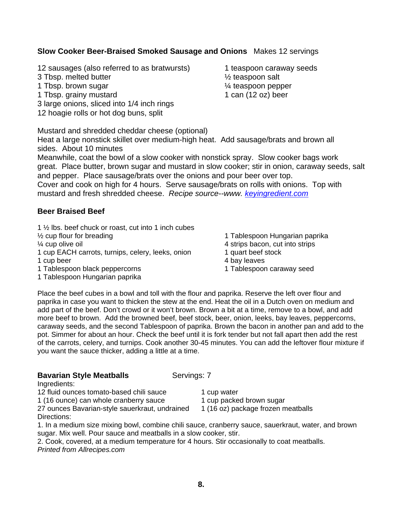#### **Slow Cooker Beer-Braised Smoked Sausage and Onions** Makes 12 servings

12 sausages (also referred to as bratwursts) 1 teaspoon caraway seeds

- 3 Tbsp. melted butter ½ teaspoon salt
- 1 Tbsp. brown sugar 1 Tbsp. brown sugar 1 A teaspoon pepper
- 1 Tbsp. grainy mustard 1 can (12 oz) beer
- 3 large onions, sliced into 1/4 inch rings
- 12 hoagie rolls or hot dog buns, split

Mustard and shredded cheddar cheese (optional)

Heat a large nonstick skillet over medium-high heat. Add sausage/brats and brown all sides. About 10 minutes

Meanwhile, coat the bowl of a slow cooker with nonstick spray. Slow cooker bags work great. Place butter, brown sugar and mustard in slow cooker; stir in onion, caraway seeds, salt and pepper. Place sausage/brats over the onions and pour beer over top. Cover and cook on high for 4 hours. Serve sausage/brats on rolls with onions. Top with mustard and fresh shredded cheese. *Recipe source--www. keyingredient.com*

#### **Beer Braised Beef**

1 ½ lbs. beef chuck or roast, cut into 1 inch cubes

<sup>1/2</sup> cup flour for breading 1 Tablespoon Hungarian paprika

- 1 cup EACH carrots, turnips, celery, leeks, onion 1 quart beef stock 1 cup beer 4 bay leaves
- 
- 1 Tablespoon black peppercorns 1 Tablespoon caraway seed
- 1 Tablespoon Hungarian paprika

- ¼ cup olive oil 4 strips bacon, cut into strips
	-
	-
	-

Place the beef cubes in a bowl and toll with the flour and paprika. Reserve the left over flour and paprika in case you want to thicken the stew at the end. Heat the oil in a Dutch oven on medium and add part of the beef. Don't crowd or it won't brown. Brown a bit at a time, remove to a bowl, and add more beef to brown. Add the browned beef, beef stock, beer, onion, leeks, bay leaves, peppercorns, caraway seeds, and the second Tablespoon of paprika. Brown the bacon in another pan and add to the pot. Simmer for about an hour. Check the beef until it is fork tender but not fall apart then add the rest of the carrots, celery, and turnips. Cook another 30-45 minutes. You can add the leftover flour mixture if you want the sauce thicker, adding a little at a time.

#### **Bavarian Style Meatballs Servings: 7**

Ingredients:

12 fluid ounces tomato-based chili sauce 1 cup water

1 (16 ounce) can whole cranberry sauce 1 cup packed brown sugar

27 ounces Bavarian-style sauerkraut, undrained 1 (16 oz) package frozen meatballs Directions:

1. In a medium size mixing bowl, combine chili sauce, cranberry sauce, sauerkraut, water, and brown sugar. Mix well. Pour sauce and meatballs in a slow cooker, stir.

2. Cook, covered, at a medium temperature for 4 hours. Stir occasionally to coat meatballs. *Printed from Allrecipes.com*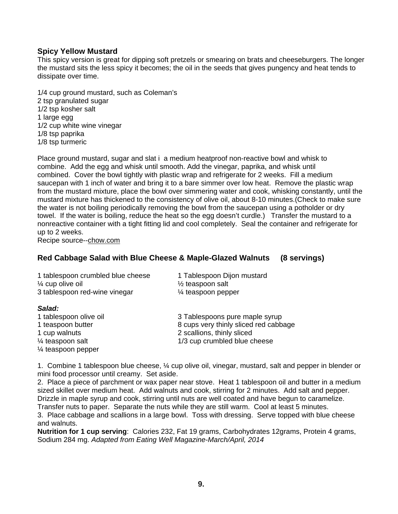#### **Spicy Yellow Mustard**

This spicy version is great for dipping soft pretzels or smearing on brats and cheeseburgers. The longer the mustard sits the less spicy it becomes; the oil in the seeds that gives pungency and heat tends to dissipate over time.

1/4 cup ground mustard, such as Coleman's 2 tsp granulated sugar 1/2 tsp kosher salt 1 large egg 1/2 cup white wine vinegar 1/8 tsp paprika 1/8 tsp turmeric

Place ground mustard, sugar and slat i a medium heatproof non-reactive bowl and whisk to combine. Add the egg and whisk until smooth. Add the vinegar, paprika, and whisk until combined. Cover the bowl tightly with plastic wrap and refrigerate for 2 weeks. Fill a medium saucepan with 1 inch of water and bring it to a bare simmer over low heat. Remove the plastic wrap from the mustard mixture, place the bowl over simmering water and cook, whisking constantly, until the mustard mixture has thickened to the consistency of olive oil, about 8-10 minutes.(Check to make sure the water is not boiling periodically removing the bowl from the saucepan using a potholder or dry towel. If the water is boiling, reduce the heat so the egg doesn't curdle.) Transfer the mustard to a nonreactive container with a tight fitting lid and cool completely. Seal the container and refrigerate for up to 2 weeks.

Recipe source--chow.com

#### **Red Cabbage Salad with Blue Cheese & Maple-Glazed Walnuts (8 servings)**

| 1 tablespoon crumbled blue cheese<br>$\frac{1}{4}$ cup olive oil | 1 Tablespoon Dijon mustard<br>$\frac{1}{2}$ teaspoon salt |
|------------------------------------------------------------------|-----------------------------------------------------------|
|                                                                  |                                                           |
| 3 tablespoon red-wine vinegar                                    | 1⁄4 teaspoon pepper                                       |
| Salad:                                                           |                                                           |

| 1 tablespoon olive oil        | 3 Tablespoons pure maple syrup        |
|-------------------------------|---------------------------------------|
| 1 teaspoon butter             | 8 cups very thinly sliced red cabbage |
| 1 cup walnuts                 | 2 scallions, thinly sliced            |
| $\frac{1}{4}$ teaspoon salt   | 1/3 cup crumbled blue cheese          |
| $\frac{1}{4}$ teaspoon pepper |                                       |

1. Combine 1 tablespoon blue cheese, ¼ cup olive oil, vinegar, mustard, salt and pepper in blender or mini food processor until creamy. Set aside.

2. Place a piece of parchment or wax paper near stove. Heat 1 tablespoon oil and butter in a medium sized skillet over medium heat. Add walnuts and cook, stirring for 2 minutes. Add salt and pepper. Drizzle in maple syrup and cook, stirring until nuts are well coated and have begun to caramelize.

Transfer nuts to paper. Separate the nuts while they are still warm. Cool at least 5 minutes.

3. Place cabbage and scallions in a large bowl. Toss with dressing. Serve topped with blue cheese and walnuts.

**Nutrition for 1 cup serving**: Calories 232, Fat 19 grams, Carbohydrates 12grams, Protein 4 grams, Sodium 284 mg. *Adapted from Eating Well Magazine-March/April, 2014*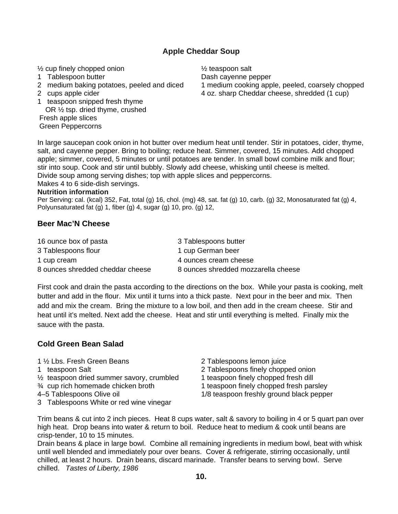#### **Apple Cheddar Soup**

 $\frac{1}{2}$  cup finely chopped onion  $\frac{1}{2}$  teaspoon salt

- 
- 
- 
- 1 teaspoon snipped fresh thyme
- OR ½ tsp. dried thyme, crushed Fresh apple slices

Green Peppercorns

1 Tablespoon butter **The Contract Contract Contract Contract Contract Contract Contract Contract Contract Contract Contract Contract Contract Contract Contract Contract Contract Contract Contract Contract Contract Contract** 2 medium baking potatoes, peeled and diced 1 medium cooking apple, peeled, coarsely chopped 2 cups apple cider 4 oz. sharp Cheddar cheese, shredded (1 cup)

In large saucepan cook onion in hot butter over medium heat until tender. Stir in potatoes, cider, thyme, salt, and cayenne pepper. Bring to boiling; reduce heat. Simmer, covered, 15 minutes. Add chopped apple; simmer, covered, 5 minutes or until potatoes are tender. In small bowl combine milk and flour; stir into soup. Cook and stir until bubbly. Slowly add cheese, whisking until cheese is melted. Divide soup among serving dishes; top with apple slices and peppercorns.

Makes 4 to 6 side-dish servings.

#### **Nutrition information**

Per Serving: cal. (kcal) 352, Fat, total (g) 16, chol. (mg) 48, sat. fat (g) 10, carb. (g) 32, Monosaturated fat (g) 4, Polyunsaturated fat (g) 1, fiber (g) 4, sugar (g) 10, pro. (g) 12,

#### **Beer Mac'N Cheese**

| 16 ounce box of pasta            | 3 Tablespoons butter                |
|----------------------------------|-------------------------------------|
| 3 Tablespoons flour              | 1 cup German beer                   |
| 1 cup cream                      | 4 ounces cream cheese               |
| 8 ounces shredded cheddar cheese | 8 ounces shredded mozzarella cheese |

First cook and drain the pasta according to the directions on the box. While your pasta is cooking, melt butter and add in the flour. Mix until it turns into a thick paste. Next pour in the beer and mix. Then add and mix the cream. Bring the mixture to a low boil, and then add in the cream cheese. Stir and heat until it's melted. Next add the cheese. Heat and stir until everything is melted. Finally mix the sauce with the pasta.

#### **Cold Green Bean Salad**

1 ½ Lbs. Fresh Green Beans 2 Tablespoons lemon juice

- 
- $\frac{1}{2}$  teaspoon dried summer savory, crumbled 1 teaspoon finely chopped fresh dill
- 
- 
- 3 Tablespoons White or red wine vinegar
- 
- 1 teaspoon Salt 2 Tablespoons finely chopped onion

- $\frac{3}{4}$  cup rich homemade chicken broth  $\frac{1}{1}$  teaspoon finely chopped fresh parsley
- 4–5 Tablespoons Olive oil 1/8 teaspoon freshly ground black pepper

Trim beans & cut into 2 inch pieces. Heat 8 cups water, salt & savory to boiling in 4 or 5 quart pan over high heat. Drop beans into water & return to boil. Reduce heat to medium & cook until beans are crisp-tender, 10 to 15 minutes.

Drain beans & place in large bowl. Combine all remaining ingredients in medium bowl, beat with whisk until well blended and immediately pour over beans. Cover & refrigerate, stirring occasionally, until chilled, at least 2 hours. Drain beans, discard marinade. Transfer beans to serving bowl. Serve chilled. *Tastes of Liberty, 1986*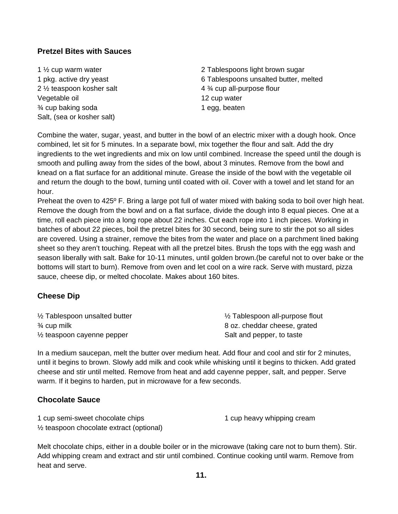#### **Pretzel Bites with Sauces**

- 2  $\frac{1}{2}$  teaspoon kosher salt  $\frac{4 \frac{3}{4} \text{ cup all-purpose flour}}{4 \frac{3}{4}}$ Vegetable oil and the same of the 12 cup water  $\frac{3}{4}$  cup baking soda 1 egg, beaten Salt, (sea or kosher salt)
- 1 ½ cup warm water 2 Tablespoons light brown sugar 1 pkg. active dry yeast 6 Tablespoons unsalted butter, melted

Combine the water, sugar, yeast, and butter in the bowl of an electric mixer with a dough hook. Once combined, let sit for 5 minutes. In a separate bowl, mix together the flour and salt. Add the dry ingredients to the wet ingredients and mix on low until combined. Increase the speed until the dough is smooth and pulling away from the sides of the bowl, about 3 minutes. Remove from the bowl and knead on a flat surface for an additional minute. Grease the inside of the bowl with the vegetable oil and return the dough to the bowl, turning until coated with oil. Cover with a towel and let stand for an hour.

Preheat the oven to 425º F. Bring a large pot full of water mixed with baking soda to boil over high heat. Remove the dough from the bowl and on a flat surface, divide the dough into 8 equal pieces. One at a time, roll each piece into a long rope about 22 inches. Cut each rope into 1 inch pieces. Working in batches of about 22 pieces, boil the pretzel bites for 30 second, being sure to stir the pot so all sides are covered. Using a strainer, remove the bites from the water and place on a parchment lined baking sheet so they aren't touching. Repeat with all the pretzel bites. Brush the tops with the egg wash and season liberally with salt. Bake for 10-11 minutes, until golden brown.(be careful not to over bake or the bottoms will start to burn). Remove from oven and let cool on a wire rack. Serve with mustard, pizza sauce, cheese dip, or melted chocolate. Makes about 160 bites.

#### **Cheese Dip**

| 1/2 Tablespoon unsalted butter        | 1/2 Tablespoon all-purpose flout |
|---------------------------------------|----------------------------------|
| $\frac{3}{4}$ cup milk                | 8 oz. cheddar cheese, grated     |
| $\frac{1}{2}$ teaspoon cayenne pepper | Salt and pepper, to taste        |

In a medium saucepan, melt the butter over medium heat. Add flour and cool and stir for 2 minutes, until it begins to brown. Slowly add milk and cook while whisking until it begins to thicken. Add grated cheese and stir until melted. Remove from heat and add cayenne pepper, salt, and pepper. Serve warm. If it begins to harden, put in microwave for a few seconds.

#### **Chocolate Sauce**

| 1 cup semi-sweet chocolate chips                      | 1 cup heavy whipping cream |
|-------------------------------------------------------|----------------------------|
| 1/ <sub>2</sub> teaspoon chocolate extract (optional) |                            |

Melt chocolate chips, either in a double boiler or in the microwave (taking care not to burn them). Stir. Add whipping cream and extract and stir until combined. Continue cooking until warm. Remove from heat and serve.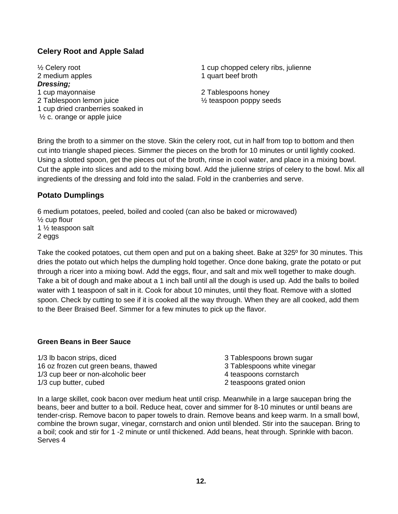#### **Celery Root and Apple Salad**

2 medium apples 1 quart beef broth *Dressing;*  1 cup mayonnaise 2 Tablespoons honey 2 Tablespoon lemon juice ½ teaspoon poppy seeds 1 cup dried cranberries soaked in ½ c. orange or apple juice

<sup>1/2</sup> Celery root 1 cup chopped celery ribs, julienne

Bring the broth to a simmer on the stove. Skin the celery root, cut in half from top to bottom and then cut into triangle shaped pieces. Simmer the pieces on the broth for 10 minutes or until lightly cooked. Using a slotted spoon, get the pieces out of the broth, rinse in cool water, and place in a mixing bowl. Cut the apple into slices and add to the mixing bowl. Add the julienne strips of celery to the bowl. Mix all ingredients of the dressing and fold into the salad. Fold in the cranberries and serve.

#### **Potato Dumplings**

6 medium potatoes, peeled, boiled and cooled (can also be baked or microwaved)

 $\frac{1}{2}$  cup flour 1 ½ teaspoon salt

2 eggs

Take the cooked potatoes, cut them open and put on a baking sheet. Bake at 325º for 30 minutes. This dries the potato out which helps the dumpling hold together. Once done baking, grate the potato or put through a ricer into a mixing bowl. Add the eggs, flour, and salt and mix well together to make dough. Take a bit of dough and make about a 1 inch ball until all the dough is used up. Add the balls to boiled water with 1 teaspoon of salt in it. Cook for about 10 minutes, until they float. Remove with a slotted spoon. Check by cutting to see if it is cooked all the way through. When they are all cooked, add them to the Beer Braised Beef. Simmer for a few minutes to pick up the flavor.

#### **Green Beans in Beer Sauce**

1/3 lb bacon strips, diced 3 Tablespoons brown sugar 16 oz frozen cut green beans, thawed 3 Tablespoons white vinegar 1/3 cup beer or non-alcoholic beer 4 teaspoons cornstarch 1/3 cup butter, cubed 2 teaspoons grated onion

In a large skillet, cook bacon over medium heat until crisp. Meanwhile in a large saucepan bring the beans, beer and butter to a boil. Reduce heat, cover and simmer for 8-10 minutes or until beans are tender-crisp. Remove bacon to paper towels to drain. Remove beans and keep warm. In a small bowl, combine the brown sugar, vinegar, cornstarch and onion until blended. Stir into the saucepan. Bring to a boil; cook and stir for 1 -2 minute or until thickened. Add beans, heat through. Sprinkle with bacon. Serves 4